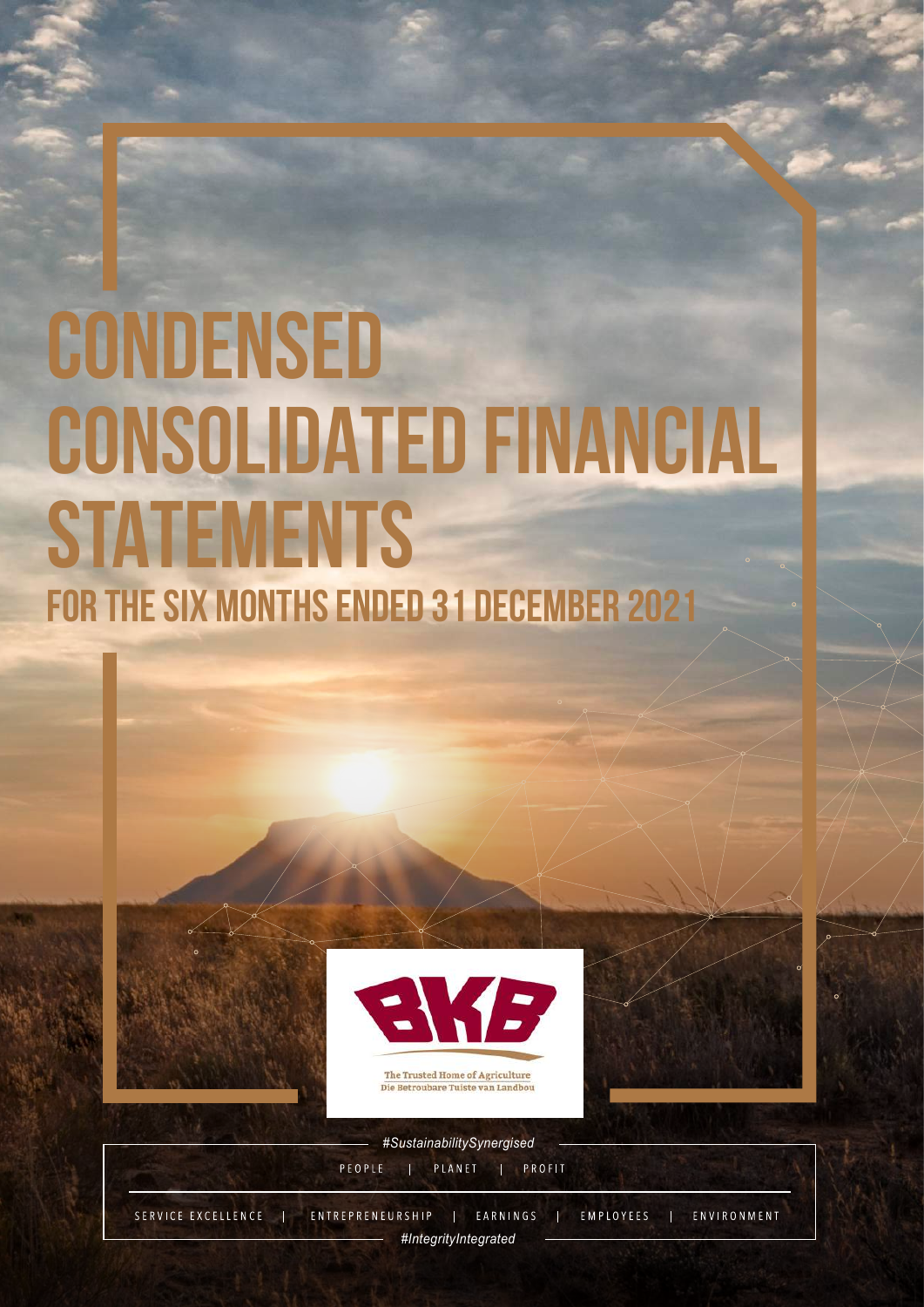## **CONDENSED CONSOLIDATED FINANCIAL STATEMENTS FOR THE SIX MONTHS ENDED 31 DECEMBER 202**



The Trusted Home of Agriculture Die Betroubare Tuiste van Landbou



*#SustainabilitySynergised* | PLANET | PROFIT PEOPLE

SERVICE EXCELLENCE ENTREPRENEURSHIP | EARNINGS | EMPLOYEES  $\mathcal{L}_{\text{eff}}$ | ENVIRONMENT *#IntegrityIntegrated #Integrated* **1999**<br>*1999*<br>*1999*<br>*1999*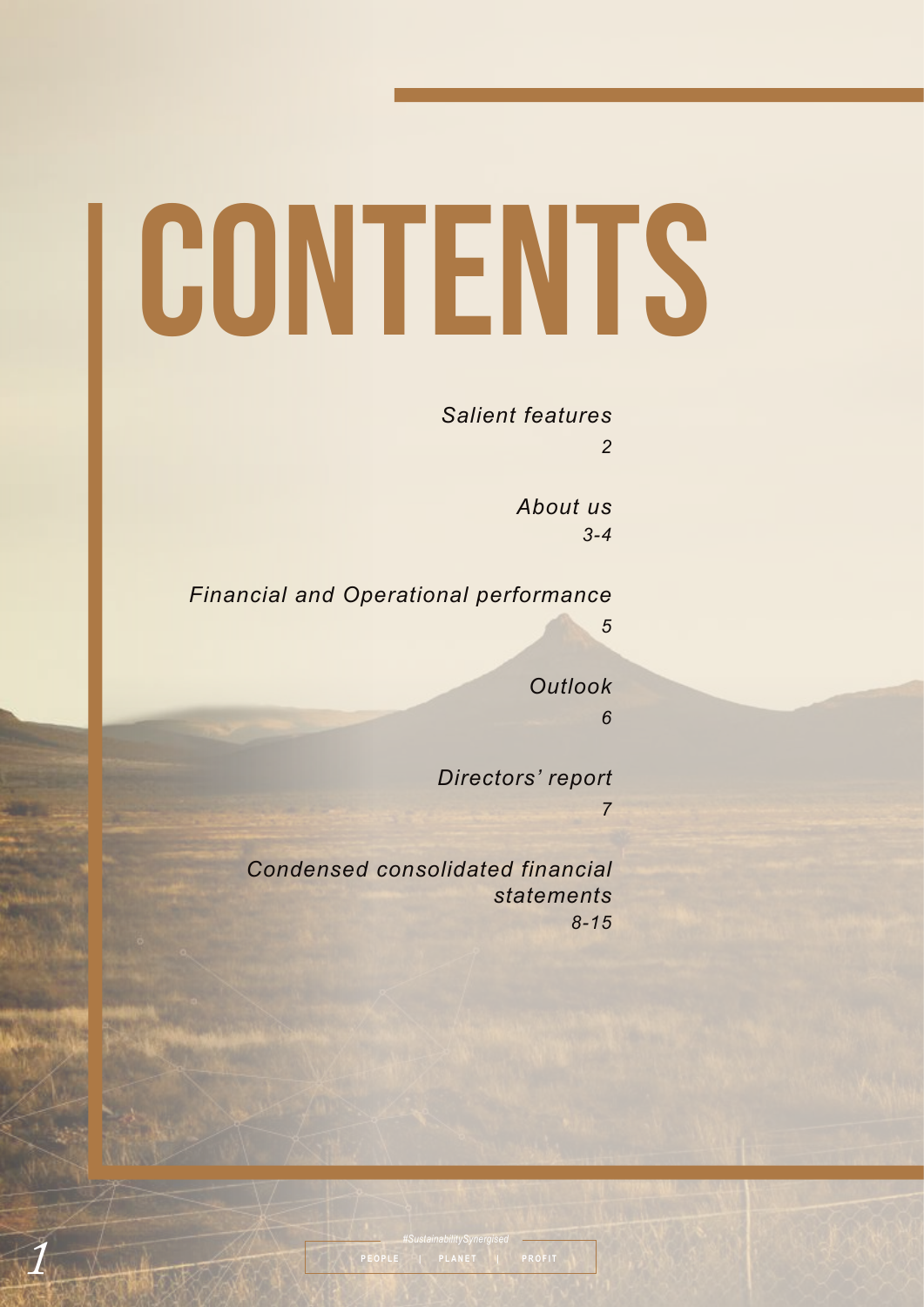# I CONTENTS

#### *Salient features*

*2*

*5*

*About us 3-4* 

*Financial and Operational performance*

*Outlook 6*

*Directors' report*

*7*

*Condensed consolidated financial statements 8-15*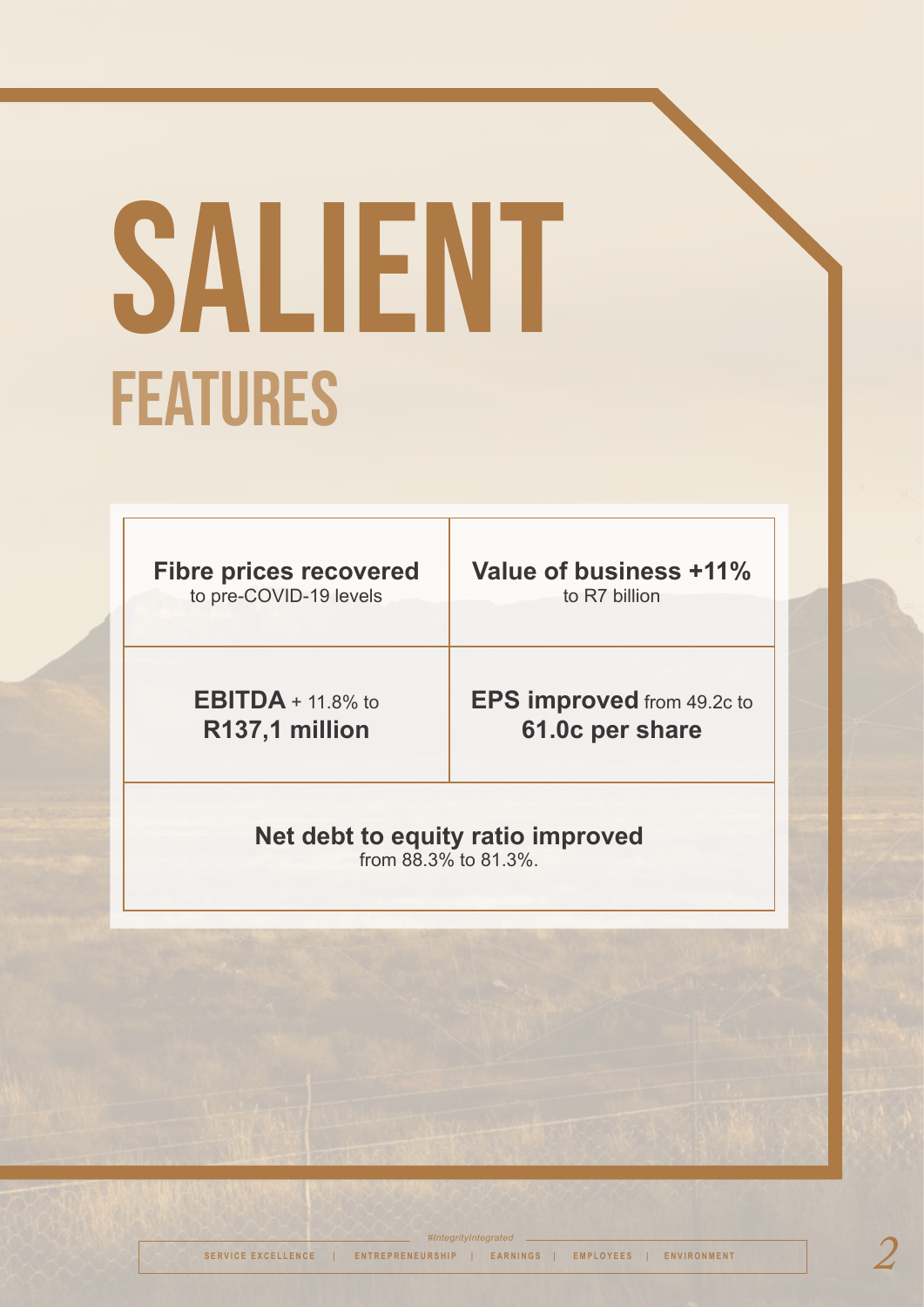# SALIENT FEATURES

**Fibre prices recovered** 

to pre-COVID-19 levels

**Value of business +11%**  to R7 billion

**EBITDA** + 11.8% to **R137,1 million**

**EPS improved** from 49.2c to **61.0c per share**

### **Net debt to equity ratio improved**

from 88.3% to 81.3%.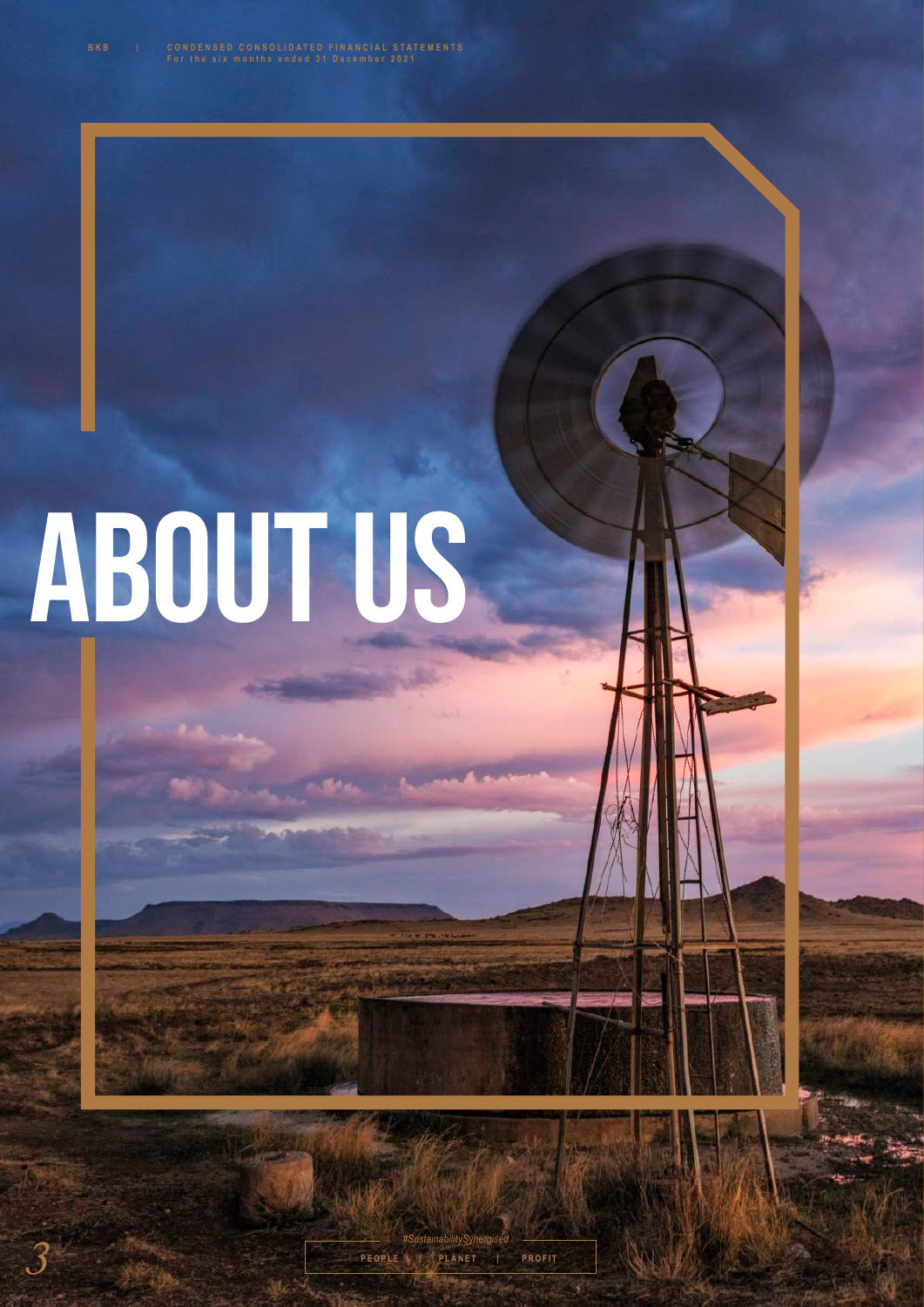# ABOUT US

**March**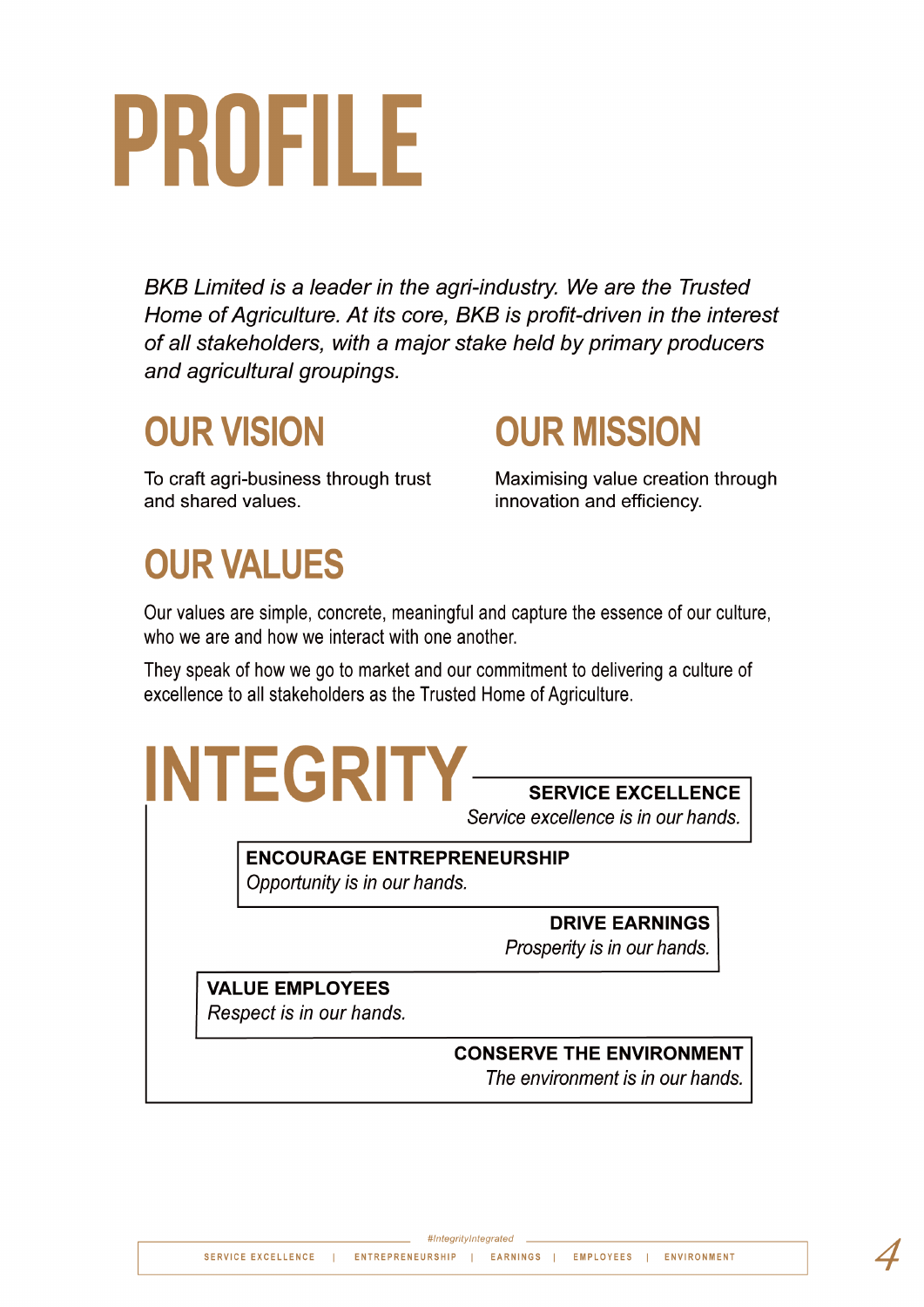# PROFILE

BKB Limited is a leader in the agri-industry. We are the Trusted Home of Agriculture. At its core, BKB is profit-driven in the interest of all stakeholders, with a major stake held by primary producers and agricultural groupings.

### **OUR VISION**

To craft agri-business through trust and shared values.

**OUR MISSION** 

Maximising value creation through innovation and efficiency.

### **OUR VALUES**

Our values are simple, concrete, meaningful and capture the essence of our culture, who we are and how we interact with one another.

They speak of how we go to market and our commitment to delivering a culture of excellence to all stakeholders as the Trusted Home of Agriculture.



Service excellence is in our hands.

**ENCOURAGE ENTREPRENEURSHIP** Opportunity is in our hands.

**DRIVE EARNINGS** 

Prosperity is in our hands.

**VALUE EMPLOYEES** Respect is in our hands.

#### **CONSERVE THE ENVIRONMENT**

The environment is in our hands.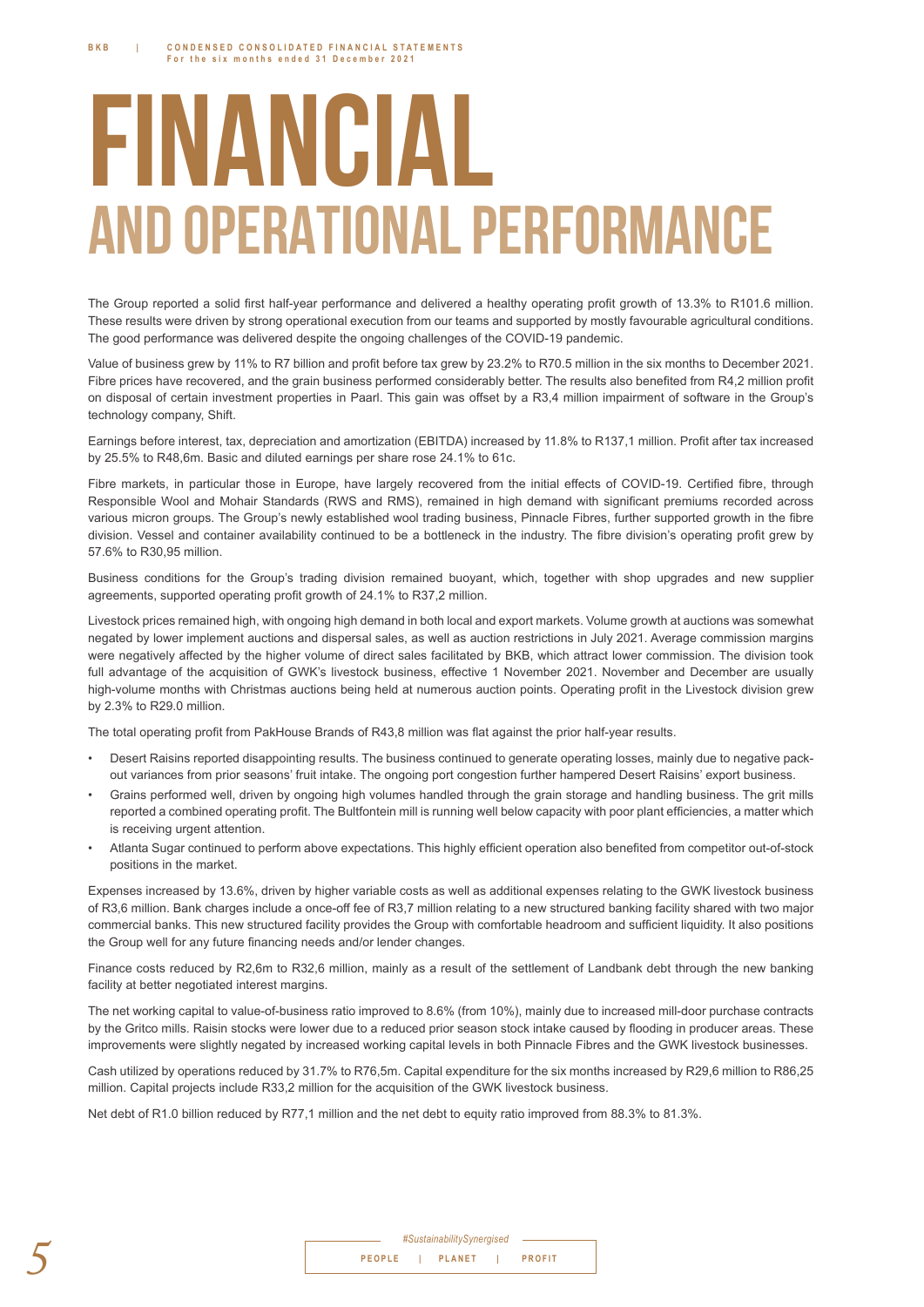## **FINANCIAL AND OPERATIONAL PERFORMANCE**

The Group reported a solid first half-year performance and delivered a healthy operating profit growth of 13.3% to R101.6 million. These results were driven by strong operational execution from our teams and supported by mostly favourable agricultural conditions. The good performance was delivered despite the ongoing challenges of the COVID-19 pandemic.

Value of business grew by 11% to R7 billion and profit before tax grew by 23.2% to R70.5 million in the six months to December 2021. Fibre prices have recovered, and the grain business performed considerably better. The results also benefited from R4,2 million profit on disposal of certain investment properties in Paarl. This gain was offset by a R3,4 million impairment of software in the Group's technology company, Shift.

Earnings before interest, tax, depreciation and amortization (EBITDA) increased by 11.8% to R137,1 million. Profit after tax increased by 25.5% to R48.6m. Basic and diluted earnings per share rose 24.1% to 61c.

Fibre markets, in particular those in Europe, have largely recovered from the initial effects of COVID-19. Certified fibre, through Responsible Wool and Mohair Standards (RWS and RMS), remained in high demand with significant premiums recorded across various micron groups. The Group's newly established wool trading business, Pinnacle Fibres, further supported growth in the fibre division. Vessel and container availability continued to be a bottleneck in the industry. The fibre division's operating profit grew by 57 6% to R30 95 million

Business conditions for the Group's trading division remained buoyant, which, together with shop upgrades and new supplier agreements, supported operating profit growth of 24.1% to R37,2 million.

Livestock prices remained high, with ongoing high demand in both local and export markets. Volume growth at auctions was somewhat negated by lower implement auctions and dispersal sales, as well as auction restrictions in July 2021. Average commission margins were negatively affected by the higher volume of direct sales facilitated by BKB, which attract lower commission. The division took full advantage of the acquisition of GWK's livestock business, effective 1 November 2021. November and December are usually high-volume months with Christmas auctions being held at numerous auction points. Operating profit in the Livestock division grew by 2.3% to R29.0 million.

The total operating profit from PakHouse Brands of R43.8 million was flat against the prior half-year results.

- Desert Raisins reported disappointing results. The business continued to generate operating losses, mainly due to negative packout variances from prior seasons' fruit intake. The ongoing port congestion further hampered Desert Raisins' export business.
- Grains performed well, driven by ongoing high volumes handled through the grain storage and handling business. The grit mills reported a combined operating profit. The Bultfontein mill is running well below capacity with poor plant efficiencies, a matter which is receiving urgent attention.
- Atlanta Sugar continued to perform above expectations. This highly efficient operation also benefited from competitor out-of-stock positions in the market.

Expenses increased by 13.6%, driven by higher variable costs as well as additional expenses relating to the GWK livestock business of R3,6 million. Bank charges include a once-off fee of R3,7 million relating to a new structured banking facility shared with two major commercial banks. This new structured facility provides the Group with comfortable headroom and sufficient liquidity. It also positions the Group well for any future financing needs and/or lender changes.

Finance costs reduced by R2,6m to R32,6 million, mainly as a result of the settlement of Landbank debt through the new banking facility at better negotiated interest margins.

The net working capital to value-of-business ratio improved to 8.6% (from 10%), mainly due to increased mill-door purchase contracts by the Gritco mills. Raisin stocks were lower due to a reduced prior season stock intake caused by flooding in producer areas. These improvements were slightly negated by increased working capital levels in both Pinnacle Fibres and the GWK livestock businesses.

Cash utilized by operations reduced by 31.7% to R76,5m. Capital expenditure for the six months increased by R29,6 million to R86,25 million. Capital projects include R33.2 million for the acquisition of the GWK livestock business.

Net debt of R1.0 billion reduced by R77.1 million and the net debt to equity ratio improved from 88.3% to 81.3%.

|  | #SustainabilitySynergised |               |
|--|---------------------------|---------------|
|  | PEOPLE   PLANET           | <b>PROFIT</b> |
|  |                           |               |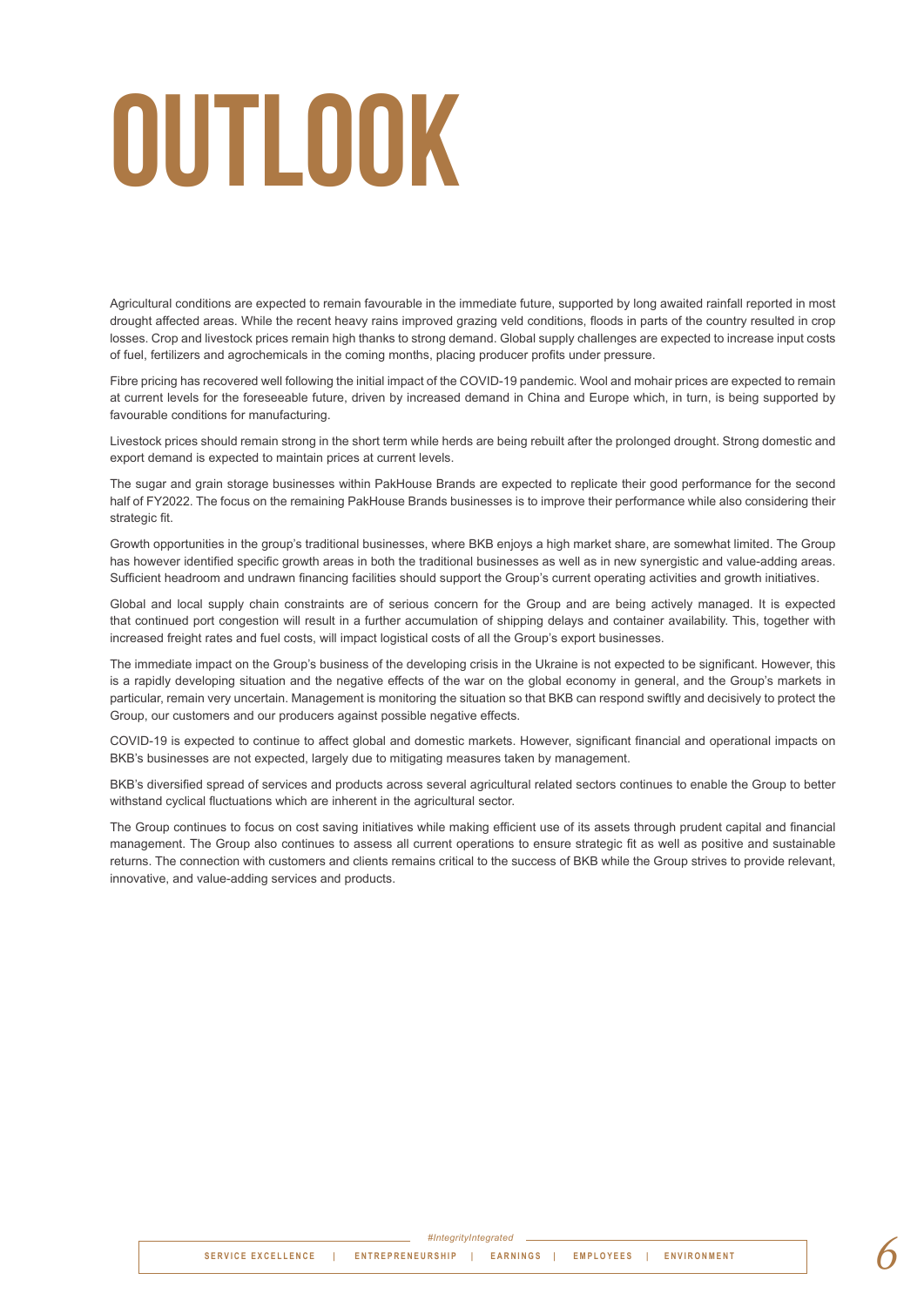# **OUTLOOK**

Agricultural conditions are expected to remain favourable in the immediate future, supported by long awaited rainfall reported in most drought affected areas. While the recent heavy rains improved grazing veld conditions, floods in parts of the country resulted in crop losses. Crop and livestock prices remain high thanks to strong demand. Global supply challenges are expected to increase input costs of fuel, fertilizers and agrochemicals in the coming months, placing producer profits under pressure.

Fibre pricing has recovered well following the initial impact of the COVID-19 pandemic. Wool and mohair prices are expected to remain at current levels for the foreseeable future, driven by increased demand in China and Europe which, in turn, is being supported by favourable conditions for manufacturing.

Livestock prices should remain strong in the short term while herds are being rebuilt after the prolonged drought. Strong domestic and export demand is expected to maintain prices at current levels.

The sugar and grain storage businesses within PakHouse Brands are expected to replicate their good performance for the second half of FY2022. The focus on the remaining PakHouse Brands businesses is to improve their performance while also considering their strategic fit.

Growth opportunities in the group's traditional businesses, where BKB enjoys a high market share, are somewhat limited. The Group has however identified specific growth areas in both the traditional businesses as well as in new synergistic and value-adding areas. Sufficient headroom and undrawn financing facilities should support the Group's current operating activities and growth initiatives.

Global and local supply chain constraints are of serious concern for the Group and are being actively managed. It is expected that continued port congestion will result in a further accumulation of shipping delays and container availability. This, together with increased freight rates and fuel costs, will impact logistical costs of all the Group's export businesses.

The immediate impact on the Group's business of the developing crisis in the Ukraine is not expected to be significant. However, this is a rapidly developing situation and the negative effects of the war on the global economy in general, and the Group's markets in particular, remain very uncertain. Management is monitoring the situation so that BKB can respond swiftly and decisively to protect the Group, our customers and our producers against possible negative effects.

COVID-19 is expected to continue to affect global and domestic markets. However, significant financial and operational impacts on BKB's businesses are not expected, largely due to mitigating measures taken by management.

BKB's diversified spread of services and products across several agricultural related sectors continues to enable the Group to better withstand cyclical fluctuations which are inherent in the agricultural sector.

The Group continues to focus on cost saving initiatives while making efficient use of its assets through prudent capital and financial management. The Group also continues to assess all current operations to ensure strategic fit as well as positive and sustainable returns. The connection with customers and clients remains critical to the success of BKB while the Group strives to provide relevant, innovative, and value-adding services and products.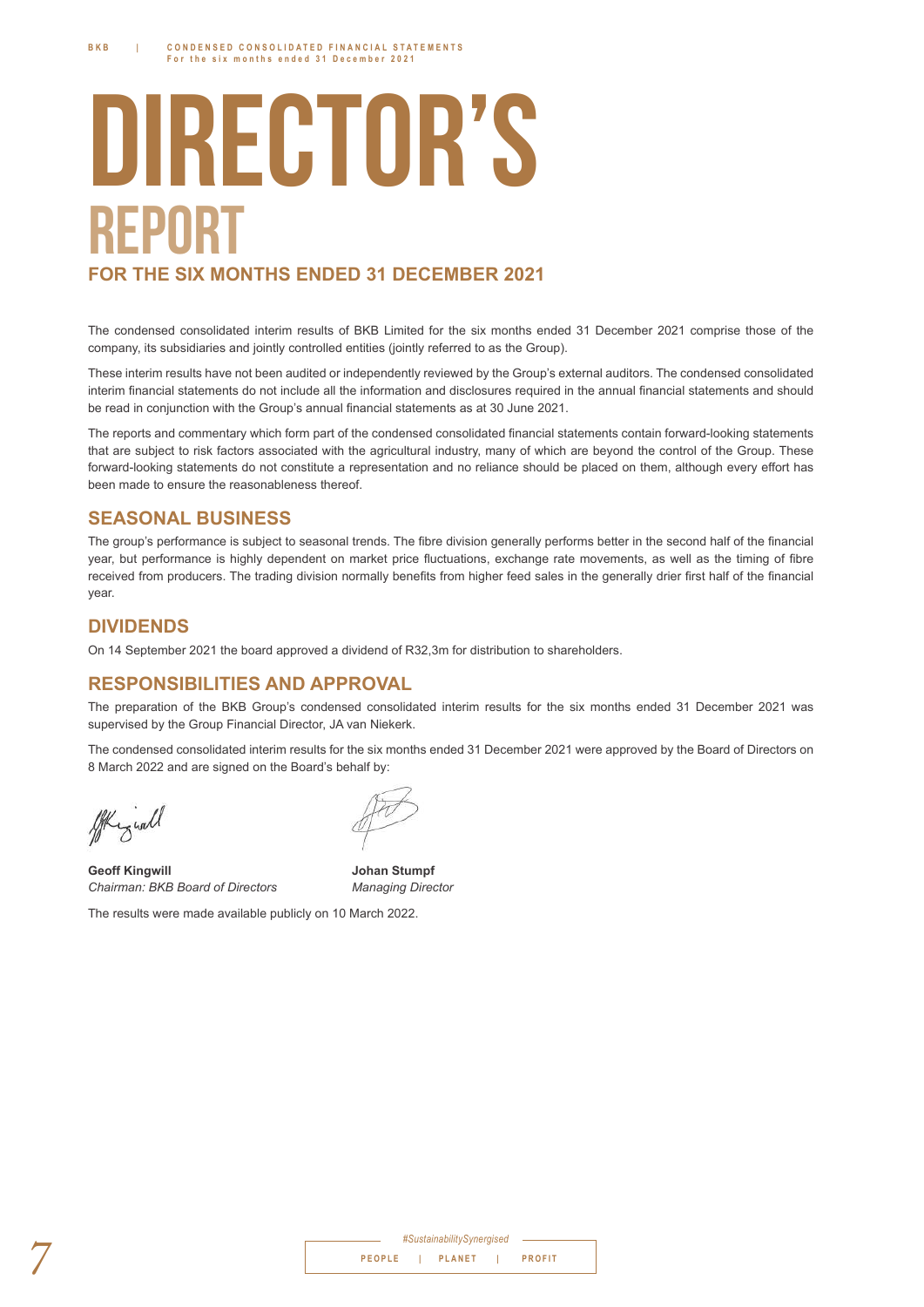## **DIRECTOR'S REPORT FOR THE SIX MONTHS ENDED 31 DECEMBER 2021**

The condensed consolidated interim results of BKB Limited for the six months ended 31 December 2021 comprise those of the company, its subsidiaries and jointly controlled entities (jointly referred to as the Group).

These interim results have not been audited or independently reviewed by the Group's external auditors. The condensed consolidated interim financial statements do not include all the information and disclosures required in the annual financial statements and should be read in conjunction with the Group's annual financial statements as at 30 June 2021.

The reports and commentary which form part of the condensed consolidated financial statements contain forward-looking statements that are subject to risk factors associated with the agricultural industry, many of which are beyond the control of the Group. These forward-looking statements do not constitute a representation and no reliance should be placed on them, although every effort has been made to ensure the reasonableness thereof.

#### **SEASONAL BUSINESS**

The group's performance is subiect to seasonal trends. The fibre division generally performs better in the second half of the financial year, but performance is highly dependent on market price fluctuations, exchange rate movements, as well as the timing of fibre received from producers. The trading division normally benefits from higher feed sales in the generally drier first half of the financial year.

#### **DIVIDENDS**

On 14 September 2021 the board approved a dividend of R32.3m for distribution to shareholders.

#### **RESPONSIBILITIES AND APPROVAL**

The preparation of the BKB Group's condensed consolidated interim results for the six months ended 31 December 2021 was supervised by the Group Financial Director, JA van Niekerk.

The condensed consolidated interim results for the six months ended 31 December 2021 were approved by the Board of Directors on 8 March 2022 and are signed on the Board's behalf by:

All y well

**Geoff Kingwill Johan Stumpf** *Chairman: BKB Board of Directors Managing Director*

| The results were made available publicly on 10 March 2022. |  |  |  |  |
|------------------------------------------------------------|--|--|--|--|

| #SustainabilitySynergised |  |  |                 |  |               |  |
|---------------------------|--|--|-----------------|--|---------------|--|
|                           |  |  | PEOPLE   PLANET |  | <b>PROFIT</b> |  |
|                           |  |  |                 |  |               |  |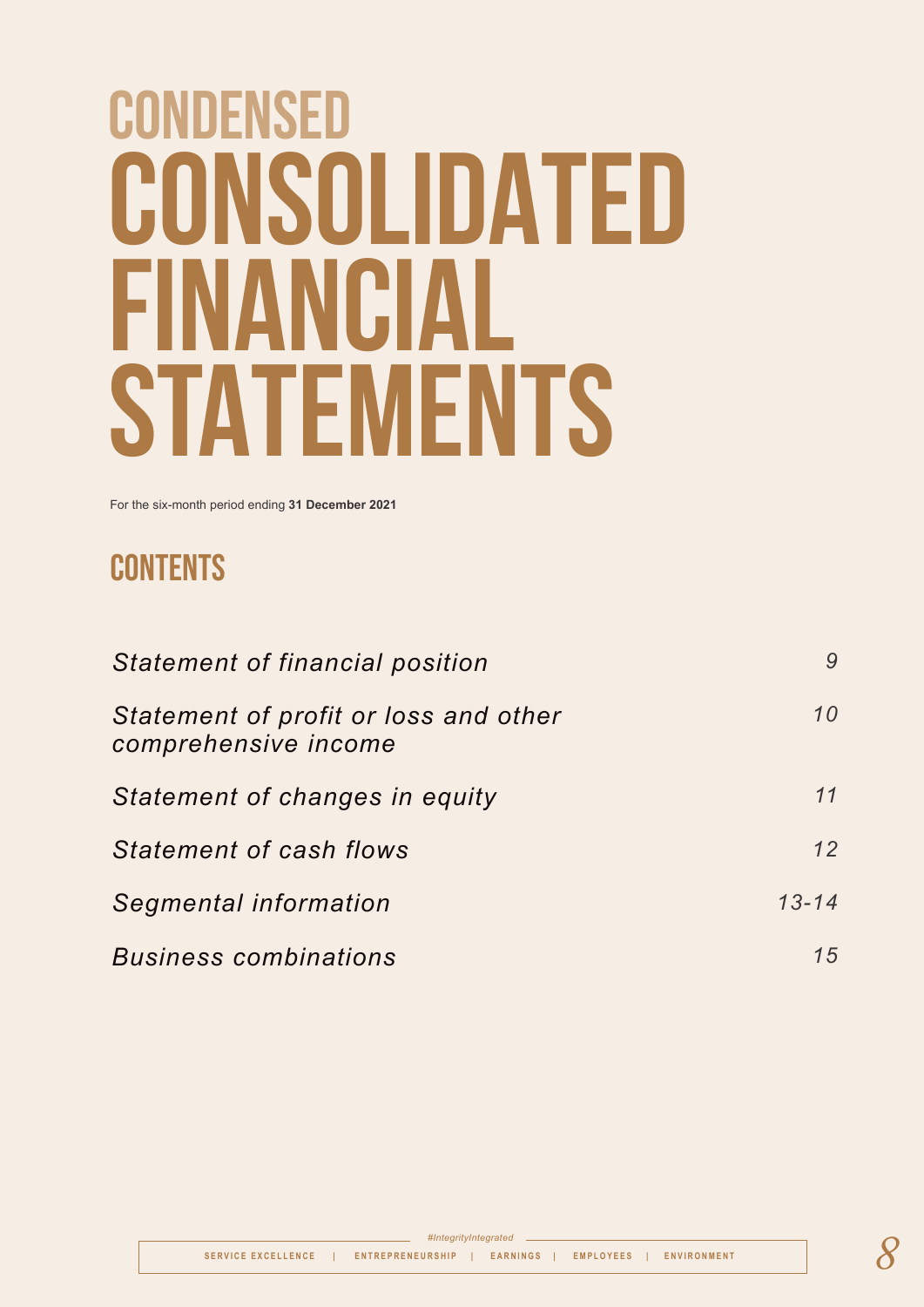# **CONDENSED CONSOLIDATED FINANCIAL STATEMENTS**

For the six-month period ending **31 December 2021**

### **CONTENTS**

| Statement of financial position                               | 9         |
|---------------------------------------------------------------|-----------|
| Statement of profit or loss and other<br>comprehensive income | 10        |
| Statement of changes in equity                                | 11        |
| <b>Statement of cash flows</b>                                | 12        |
| Segmental information                                         | $13 - 14$ |
| <b>Business combinations</b>                                  | 15        |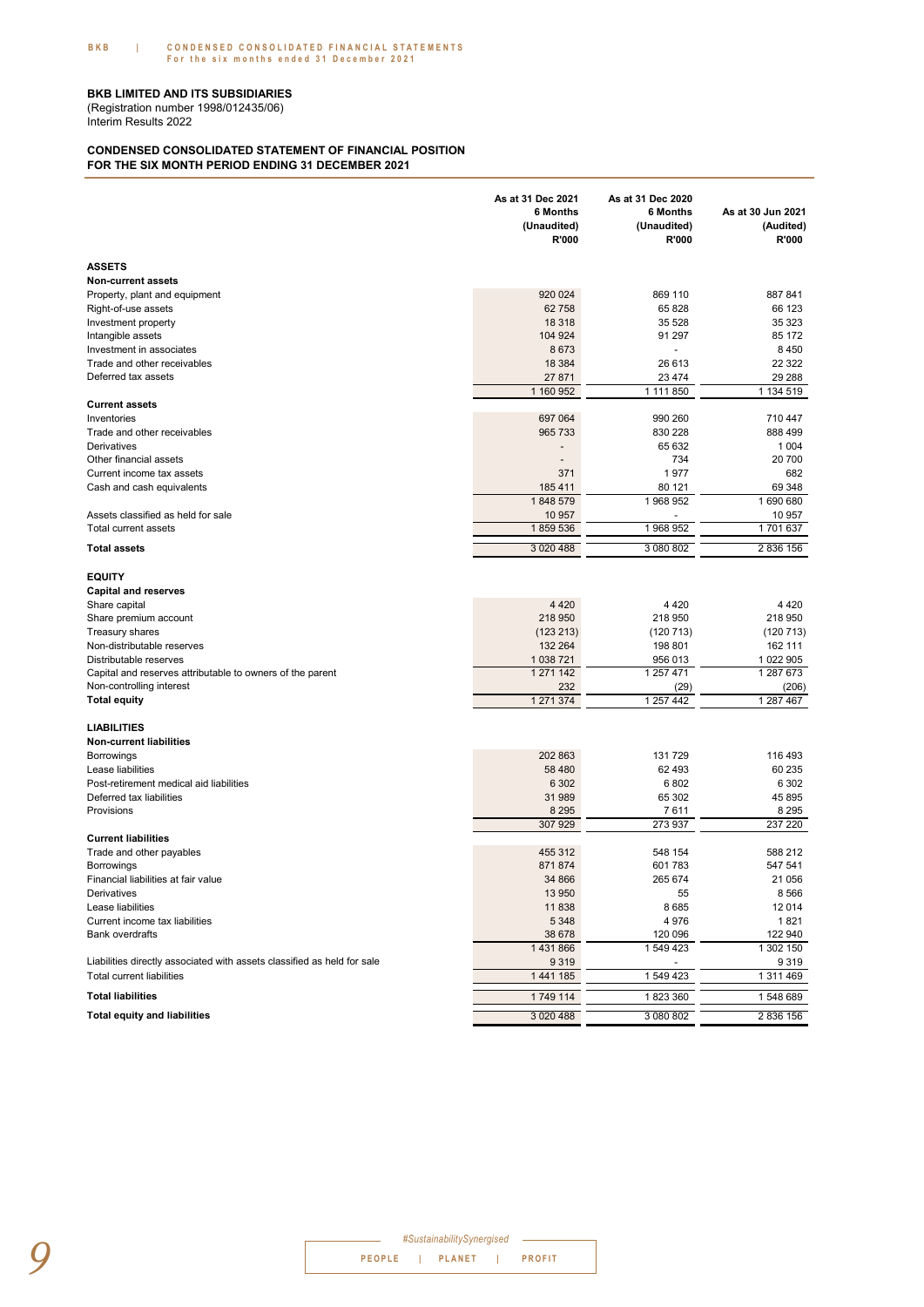Interim Results 2022 (Registration number 1998/012435/06)

#### **CONDENSED CONSOLIDATED STATEMENT OF FINANCIAL POSITION FOR THE SIX MONTH PERIOD ENDING 31 DECEMBER 2021**

|                                                                                     | As at 31 Dec 2021<br>6 Months<br>(Unaudited)<br>R'000 | As at 31 Dec 2020<br>6 Months<br>(Unaudited)<br>R'000 | As at 30 Jun 2021<br>(Audited)<br>R'000 |
|-------------------------------------------------------------------------------------|-------------------------------------------------------|-------------------------------------------------------|-----------------------------------------|
| <b>ASSETS</b>                                                                       |                                                       |                                                       |                                         |
| <b>Non-current assets</b>                                                           |                                                       |                                                       |                                         |
| Property, plant and equipment                                                       | 920 024                                               | 869 110                                               | 887841                                  |
| Right-of-use assets                                                                 | 62 758                                                | 65 828                                                | 66 123                                  |
| Investment property                                                                 | 18 318                                                | 35 5 28                                               | 35 323                                  |
| Intangible assets                                                                   | 104 924                                               | 91 297                                                | 85 172                                  |
| Investment in associates                                                            | 8673                                                  | $\overline{\phantom{a}}$                              | 8 4 5 0                                 |
| Trade and other receivables<br>Deferred tax assets                                  | 18 3 84                                               | 26 613                                                | 22 3 22                                 |
|                                                                                     | 27 871<br>1 160 952                                   | 23 4 74<br>1 111 850                                  | 29 288<br>1 134 519                     |
| <b>Current assets</b>                                                               |                                                       |                                                       |                                         |
| Inventories                                                                         | 697 064                                               | 990 260                                               | 710 447                                 |
| Trade and other receivables                                                         | 965 733                                               | 830 228                                               | 888 499                                 |
| Derivatives                                                                         |                                                       | 65 632                                                | 1 0 0 4                                 |
| Other financial assets                                                              | $\overline{\phantom{a}}$                              | 734                                                   | 20 700                                  |
| Current income tax assets                                                           | 371                                                   | 1977                                                  | 682                                     |
| Cash and cash equivalents                                                           | 185 411                                               | 80 121                                                | 69 348                                  |
|                                                                                     | 1848 579                                              | 1 968 952                                             | 1690680                                 |
| Assets classified as held for sale                                                  | 10 957                                                |                                                       | 10 957                                  |
| Total current assets                                                                | 1859536                                               | 1 968 952                                             | 1701637                                 |
| <b>Total assets</b>                                                                 | 3 0 20 4 88                                           | 3 080 802                                             | 2 836 156                               |
| <b>EQUITY</b>                                                                       |                                                       |                                                       |                                         |
| <b>Capital and reserves</b>                                                         |                                                       |                                                       |                                         |
| Share capital                                                                       | 4 4 2 0                                               | 4 4 2 0                                               | 4 4 2 0                                 |
| Share premium account                                                               | 218 950                                               | 218 950                                               | 218 950                                 |
| <b>Treasury shares</b>                                                              | (123 213)                                             | (120 713)                                             | (120713)                                |
| Non-distributable reserves                                                          | 132 264                                               | 198 801                                               | 162 111                                 |
| Distributable reserves<br>Capital and reserves attributable to owners of the parent | 1 038 721<br>1 271 142                                | 956 013<br>1 257 471                                  | 1 022 905<br>1 287 673                  |
| Non-controlling interest                                                            | 232                                                   | (29)                                                  | (206)                                   |
| <b>Total equity</b>                                                                 | 1 271 374                                             | 1 257 442                                             | 1 287 467                               |
| <b>LIABILITIES</b>                                                                  |                                                       |                                                       |                                         |
| Non-current liabilities                                                             |                                                       |                                                       |                                         |
| <b>Borrowings</b>                                                                   | 202 863                                               | 131 729                                               | 116 493                                 |
| Lease liabilities                                                                   | 58 480                                                | 62 493                                                | 60 235                                  |
| Post-retirement medical aid liabilities                                             | 6 3 0 2                                               | 6802                                                  | 6 3 0 2                                 |
| Deferred tax liabilities                                                            | 31 989                                                | 65 302                                                | 45 895                                  |
| Provisions                                                                          | 8 2 9 5                                               | 7611                                                  | 8 2 9 5                                 |
| <b>Current liabilities</b>                                                          | 307 929                                               | 273 937                                               | 237 220                                 |
| Trade and other payables                                                            | 455 312                                               | 548 154                                               | 588 212                                 |
| Borrowings                                                                          | 871 874                                               | 601 783                                               | 547 541                                 |
| Financial liabilities at fair value                                                 | 34 866                                                | 265 674                                               | 21 056                                  |
| Derivatives                                                                         | 13 950                                                | 55                                                    | 8 5 6 6                                 |
| Lease liabilities                                                                   | 11 838                                                | 8685                                                  | 12 014                                  |
| Current income tax liabilities                                                      | 5 3 4 8                                               | 4 9 7 6                                               | 1821                                    |
| <b>Bank overdrafts</b>                                                              | 38 678                                                | 120 096                                               | 122 940                                 |
|                                                                                     | 1 431 866                                             | 1 549 423                                             | 1 302 150                               |
| Liabilities directly associated with assets classified as held for sale             | 9 3 1 9                                               |                                                       | 9 3 1 9                                 |
| <b>Total current liabilities</b>                                                    | 1 441 185                                             | 1 549 423                                             | 1 311 469                               |
| <b>Total liabilities</b>                                                            | 1749 114                                              | 1823360                                               | 1548689                                 |
| <b>Total equity and liabilities</b>                                                 | 3 0 20 4 88                                           | 3 080 802                                             | 2 836 156                               |

**PEOPLE | PLANET | PROFIT** *PEOPLE*  $\frac{1}{2}$  **PEOPLE**  $\frac{1}{2}$  **PLANET**  $\frac{1}{2}$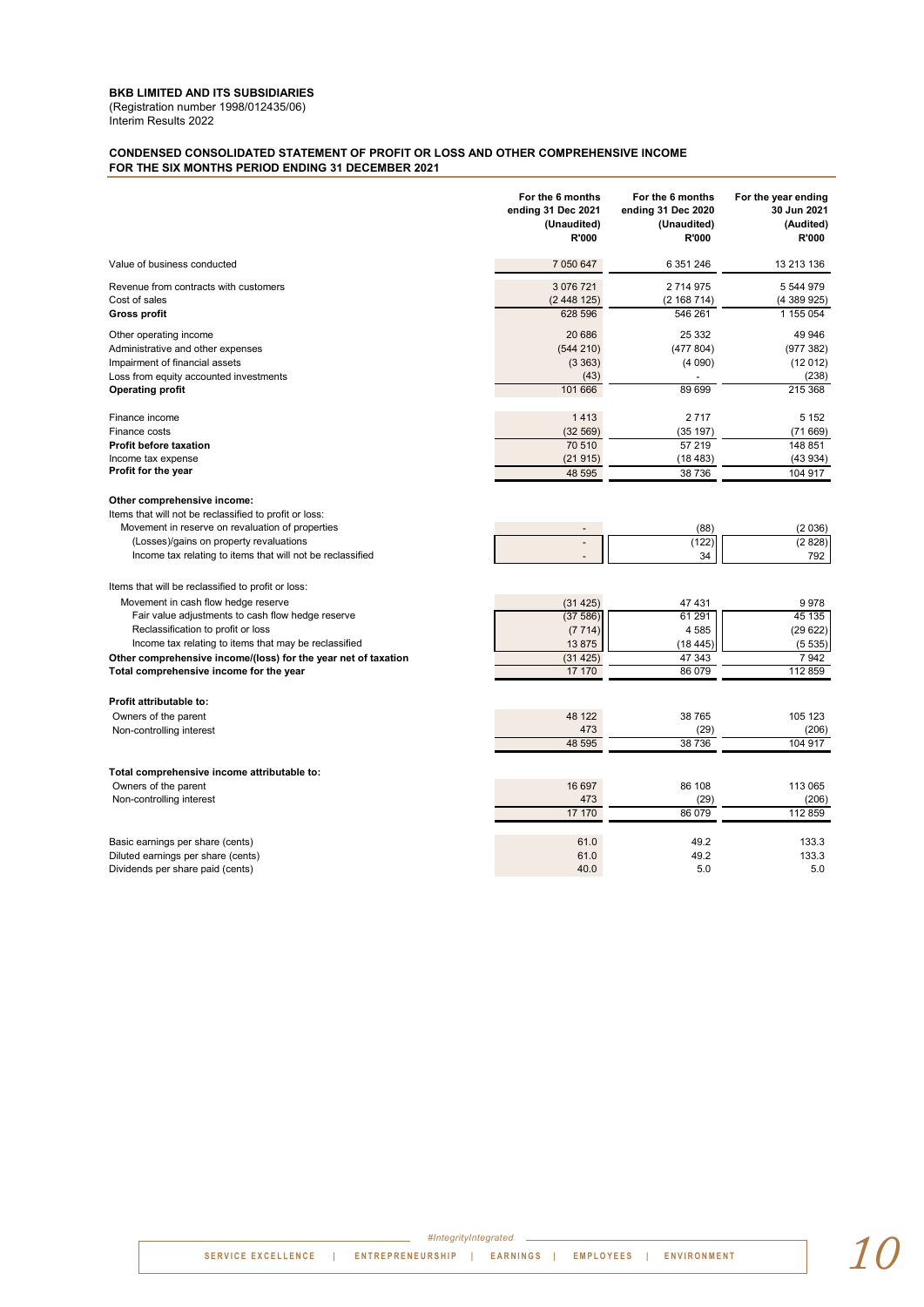#### **BKB LIMITED AND ITS SUBSIDIARIES** (Registration number 1998/012435/06)

Interim Results 2022

#### **CONDENSED CONSOLIDATED STATEMENT OF PROFIT OR LOSS AND OTHER COMPREHENSIVE INCOME FOR THE SIX MONTHS PERIOD ENDING 31 DECEMBER 2021**

|                                                                                                                                                                                                                                                                                                                                                            | For the 6 months                                            | For the 6 months                                           | For the year ending                                    |
|------------------------------------------------------------------------------------------------------------------------------------------------------------------------------------------------------------------------------------------------------------------------------------------------------------------------------------------------------------|-------------------------------------------------------------|------------------------------------------------------------|--------------------------------------------------------|
|                                                                                                                                                                                                                                                                                                                                                            | ending 31 Dec 2021                                          | ending 31 Dec 2020                                         | 30 Jun 2021                                            |
|                                                                                                                                                                                                                                                                                                                                                            | (Unaudited)                                                 | (Unaudited)                                                | (Audited)                                              |
|                                                                                                                                                                                                                                                                                                                                                            | R'000                                                       | R'000                                                      | R'000                                                  |
| Value of business conducted                                                                                                                                                                                                                                                                                                                                | 7 050 647                                                   | 6 351 246                                                  | 13 213 136                                             |
| Revenue from contracts with customers                                                                                                                                                                                                                                                                                                                      | 3 076 721                                                   | 2 714 975                                                  | 5 544 979                                              |
| Cost of sales                                                                                                                                                                                                                                                                                                                                              | (2448125)                                                   | (2 168 714)                                                | (4389925)                                              |
| <b>Gross profit</b>                                                                                                                                                                                                                                                                                                                                        | 628 596                                                     | 546 261                                                    | 1 155 054                                              |
| Other operating income<br>Administrative and other expenses<br>Impairment of financial assets<br>Loss from equity accounted investments<br><b>Operating profit</b>                                                                                                                                                                                         | 20 686<br>(544 210)<br>(3363)<br>(43)<br>101 666            | 25 332<br>(477804)<br>(4090)<br>89 699                     | 49 946<br>(977 382)<br>(12012)<br>(238)<br>215 368     |
| Finance income                                                                                                                                                                                                                                                                                                                                             | 1413                                                        | 2717                                                       | 5 1 5 2                                                |
| Finance costs                                                                                                                                                                                                                                                                                                                                              | (32 569)                                                    | (35 197)                                                   | (71669)                                                |
| <b>Profit before taxation</b>                                                                                                                                                                                                                                                                                                                              | 70 510                                                      | 57 219                                                     | 148 851                                                |
| Income tax expense                                                                                                                                                                                                                                                                                                                                         | (21915)                                                     | (18483)                                                    | (43934)                                                |
| Profit for the year                                                                                                                                                                                                                                                                                                                                        | 48 595                                                      | 38 736                                                     | 104 917                                                |
| Other comprehensive income:<br>Items that will not be reclassified to profit or loss:<br>Movement in reserve on revaluation of properties<br>(Losses)/gains on property revaluations<br>Income tax relating to items that will not be reclassified                                                                                                         |                                                             | (88)<br>(122)<br>34                                        | (2036)<br>(2828)<br>792                                |
| Items that will be reclassified to profit or loss:<br>Movement in cash flow hedge reserve<br>Fair value adjustments to cash flow hedge reserve<br>Reclassification to profit or loss<br>Income tax relating to items that may be reclassified<br>Other comprehensive income/(loss) for the year net of taxation<br>Total comprehensive income for the year | (31425)<br>(37586)<br>(7714)<br>13875<br>(31 425)<br>17 170 | 47 431<br>61 291<br>4 5 8 5<br>(18445)<br>47 343<br>86 079 | 9978<br>45 135<br>(29622)<br>(5535)<br>7942<br>112 859 |
| Profit attributable to:                                                                                                                                                                                                                                                                                                                                    | 48 122                                                      | 38 765                                                     | 105 123                                                |
| Owners of the parent                                                                                                                                                                                                                                                                                                                                       | 473                                                         | (29)                                                       | (206)                                                  |
| Non-controlling interest                                                                                                                                                                                                                                                                                                                                   | 48 595                                                      | 38 736                                                     | 104 917                                                |
| Total comprehensive income attributable to:                                                                                                                                                                                                                                                                                                                | 16 697                                                      | 86 108                                                     | 113 065                                                |
| Owners of the parent                                                                                                                                                                                                                                                                                                                                       | 473                                                         | (29)                                                       | (206)                                                  |
| Non-controlling interest                                                                                                                                                                                                                                                                                                                                   | 17 170                                                      | 86 079                                                     | 112 859                                                |
| Basic earnings per share (cents)                                                                                                                                                                                                                                                                                                                           | 61.0                                                        | 49.2                                                       | 133.3                                                  |
| Diluted earnings per share (cents)                                                                                                                                                                                                                                                                                                                         | 61.0                                                        | 49.2                                                       | 133.3                                                  |
| Dividends per share paid (cents)                                                                                                                                                                                                                                                                                                                           | 40.0                                                        | 5.0                                                        | 5.0                                                    |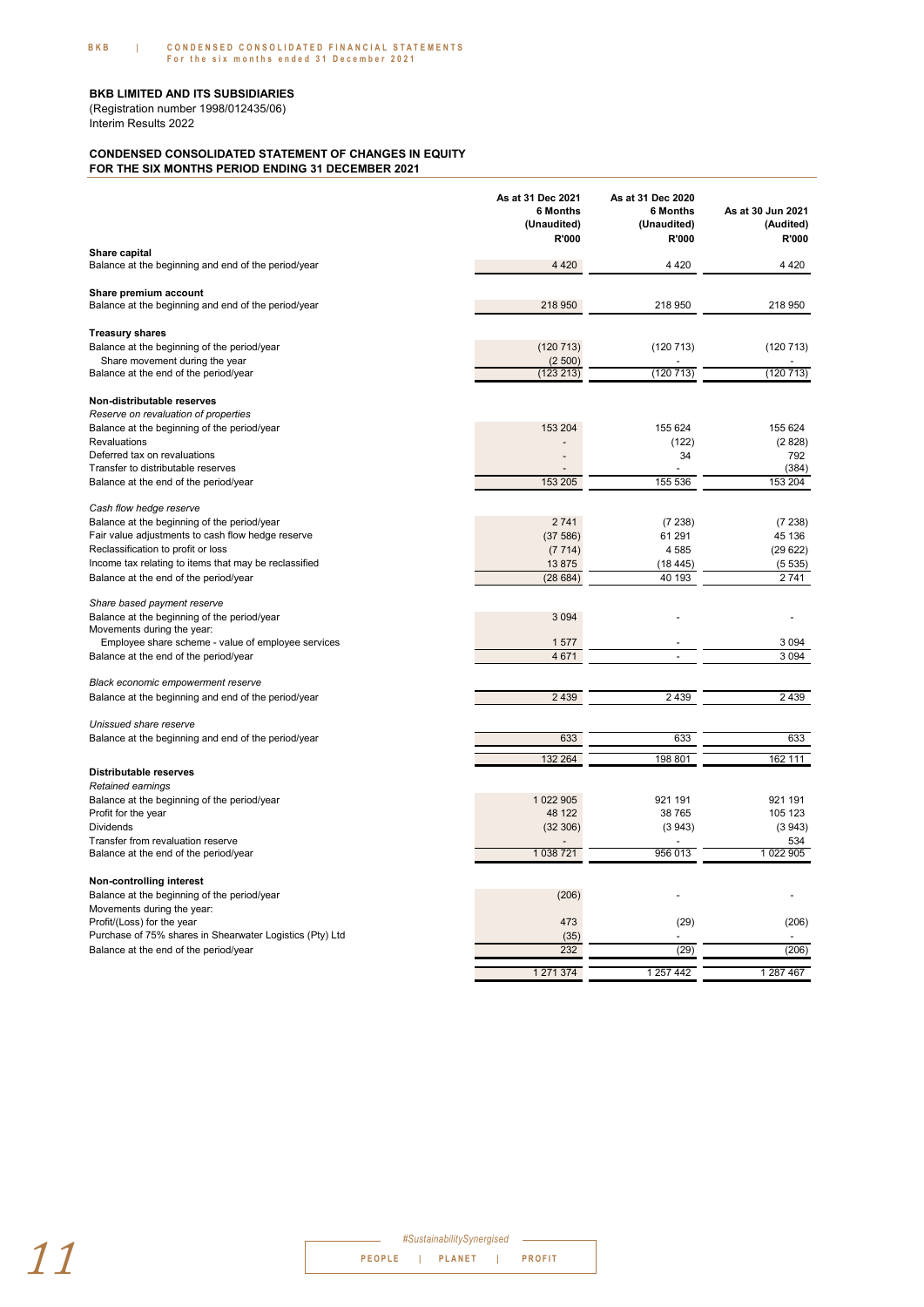Interim Results 2022 (Registration number 1998/012435/06)

#### **CONDENSED CONSOLIDATED STATEMENT OF CHANGES IN EQUITY FOR THE SIX MONTHS PERIOD ENDING 31 DECEMBER 2021**

|                                                                              | As at 31 Dec 2021<br>6 Months<br>(Unaudited)<br>R'000 | As at 31 Dec 2020<br>6 Months<br>(Unaudited)<br>R'000 | As at 30 Jun 2021<br>(Audited)<br>R'000 |
|------------------------------------------------------------------------------|-------------------------------------------------------|-------------------------------------------------------|-----------------------------------------|
| Share capital<br>Balance at the beginning and end of the period/year         | 4 4 2 0                                               | 4 4 2 0                                               | 4 4 2 0                                 |
|                                                                              |                                                       |                                                       |                                         |
| Share premium account<br>Balance at the beginning and end of the period/year | 218 950                                               | 218 950                                               | 218 950                                 |
| <b>Treasury shares</b>                                                       |                                                       |                                                       |                                         |
| Balance at the beginning of the period/year                                  | (120 713)                                             | (120 713)                                             | (120 713)                               |
| Share movement during the year                                               | (2500)                                                |                                                       |                                         |
| Balance at the end of the period/year                                        | (123 213)                                             | (120713)                                              | (120 713)                               |
| Non-distributable reserves                                                   |                                                       |                                                       |                                         |
| Reserve on revaluation of properties                                         |                                                       |                                                       |                                         |
| Balance at the beginning of the period/year                                  | 153 204                                               | 155 624                                               | 155 624                                 |
| Revaluations<br>Deferred tax on revaluations                                 |                                                       | (122)<br>34                                           | (2828)<br>792                           |
| Transfer to distributable reserves                                           |                                                       |                                                       | (384)                                   |
| Balance at the end of the period/year                                        | 153 205                                               | 155 536                                               | 153 204                                 |
|                                                                              |                                                       |                                                       |                                         |
| Cash flow hedge reserve<br>Balance at the beginning of the period/year       | 2741                                                  | (7238)                                                | (7238)                                  |
| Fair value adjustments to cash flow hedge reserve                            | (37586)                                               | 61 291                                                | 45 136                                  |
| Reclassification to profit or loss                                           | (7714)                                                | 4585                                                  | (29622)                                 |
| Income tax relating to items that may be reclassified                        | 13875                                                 | (18445)                                               | (5535)                                  |
| Balance at the end of the period/year                                        | (28684)                                               | 40 193                                                | 2741                                    |
|                                                                              |                                                       |                                                       |                                         |
| Share based payment reserve<br>Balance at the beginning of the period/year   | 3 0 9 4                                               |                                                       |                                         |
| Movements during the year:                                                   |                                                       |                                                       |                                         |
| Employee share scheme - value of employee services                           | 1577                                                  |                                                       | 3 0 9 4                                 |
| Balance at the end of the period/year                                        | 4 671                                                 | $\overline{a}$                                        | 3 0 9 4                                 |
| Black economic empowerment reserve                                           |                                                       |                                                       |                                         |
| Balance at the beginning and end of the period/year                          | 2 4 3 9                                               | 2 4 3 9                                               | 2439                                    |
|                                                                              |                                                       |                                                       |                                         |
| Unissued share reserve                                                       |                                                       |                                                       |                                         |
| Balance at the beginning and end of the period/year                          | 633                                                   | 633                                                   | 633                                     |
|                                                                              | 132 264                                               | 198 801                                               | 162 111                                 |
| Distributable reserves<br>Retained earnings                                  |                                                       |                                                       |                                         |
| Balance at the beginning of the period/year                                  | 1 022 905                                             | 921 191                                               | 921 191                                 |
| Profit for the year                                                          | 48 122                                                | 38 765                                                | 105 123                                 |
| <b>Dividends</b>                                                             | (32 306)                                              | (3943)                                                | (3943)                                  |
| Transfer from revaluation reserve                                            |                                                       |                                                       | 534                                     |
| Balance at the end of the period/year                                        | 1 038 721                                             | 956 013                                               | 1 022 905                               |
| Non-controlling interest                                                     |                                                       |                                                       |                                         |
| Balance at the beginning of the period/year                                  | (206)                                                 |                                                       |                                         |
| Movements during the year:                                                   |                                                       |                                                       |                                         |
| Profit/(Loss) for the year                                                   | 473                                                   | (29)                                                  | (206)                                   |
| Purchase of 75% shares in Shearwater Logistics (Pty) Ltd                     | (35)                                                  |                                                       |                                         |
| Balance at the end of the period/year                                        | 232                                                   | (29)                                                  | (206)                                   |
|                                                                              | 1 271 374                                             | 1 257 442                                             | 1 287 467                               |

| #SustainabilitySynergised |  |                 |  |               |
|---------------------------|--|-----------------|--|---------------|
|                           |  | PEOPLE   PLANET |  | <b>PROFIT</b> |
|                           |  |                 |  |               |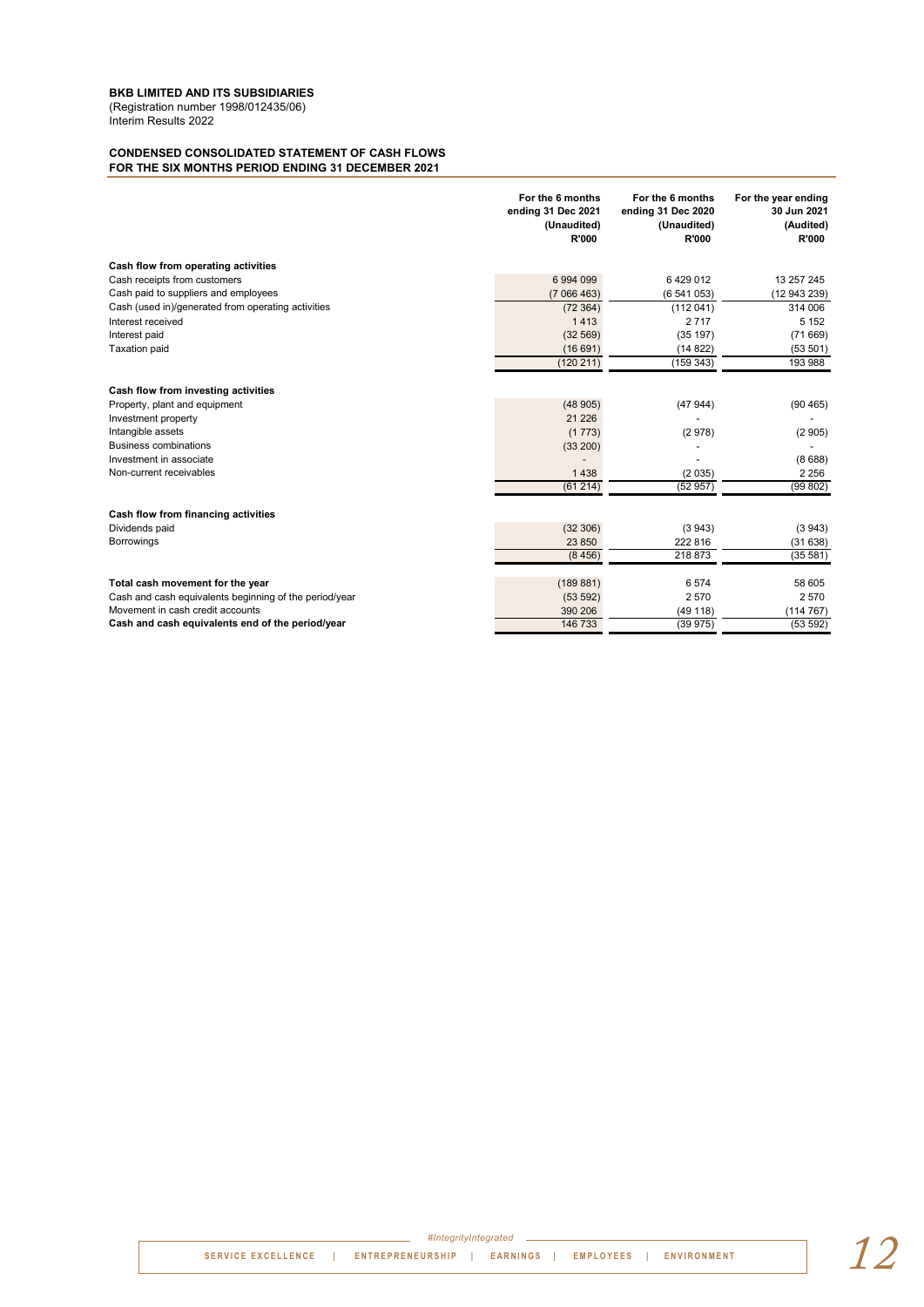(Registration number 1998/012435/06)

#### Interim Results 2022

#### **CONDENSED CONSOLIDATED STATEMENT OF CASH FLOWS FOR THE SIX MONTHS PERIOD ENDING 31 DECEMBER 2021**

|                                                        | For the 6 months<br>ending 31 Dec 2021<br>(Unaudited)<br>R'000 | For the 6 months<br>ending 31 Dec 2020<br>(Unaudited)<br>R'000 | For the year ending<br>30 Jun 2021<br>(Audited)<br>R'000 |
|--------------------------------------------------------|----------------------------------------------------------------|----------------------------------------------------------------|----------------------------------------------------------|
| Cash flow from operating activities                    |                                                                |                                                                |                                                          |
| Cash receipts from customers                           | 6 994 099                                                      | 6429012                                                        | 13 257 245                                               |
| Cash paid to suppliers and employees                   | (7066463)                                                      | (6541053)                                                      | (12 943 239)                                             |
| Cash (used in)/generated from operating activities     | (72364)                                                        | (112041)                                                       | 314 006                                                  |
| Interest received                                      | 1413                                                           | 2717                                                           | 5 1 5 2                                                  |
| Interest paid                                          | (32 569)                                                       | (35 197)                                                       | (71669)                                                  |
| <b>Taxation paid</b>                                   | (16691)                                                        | (14822)                                                        | (53 501)                                                 |
|                                                        | (120 211)                                                      | (159343)                                                       | 193 988                                                  |
| Cash flow from investing activities                    |                                                                |                                                                |                                                          |
| Property, plant and equipment                          | (48905)                                                        | (47944)                                                        | (90 465)                                                 |
| Investment property                                    | 21 2 26                                                        |                                                                |                                                          |
| Intangible assets                                      | (1773)                                                         | (2978)                                                         | (2905)                                                   |
| <b>Business combinations</b>                           | (33 200)                                                       |                                                                |                                                          |
| Investment in associate                                |                                                                |                                                                | (8688)                                                   |
| Non-current receivables                                | 1438                                                           | (2035)                                                         | 2 2 5 6                                                  |
|                                                        | (61214)                                                        | (52957)                                                        | (99802)                                                  |
| Cash flow from financing activities                    |                                                                |                                                                |                                                          |
| Dividends paid                                         | (32306)                                                        | (3943)                                                         | (3943)                                                   |
| Borrowings                                             | 23 850                                                         | 222 816                                                        | (31638)                                                  |
|                                                        | (8456)                                                         | 218 873                                                        | (35 581)                                                 |
| Total cash movement for the year                       | (189 881)                                                      | 6 5 7 4                                                        | 58 605                                                   |
| Cash and cash equivalents beginning of the period/year | (53592)                                                        | 2570                                                           | 2 5 7 0                                                  |
| Movement in cash credit accounts                       | 390 206                                                        | (49118)                                                        | (114767)                                                 |
| Cash and cash equivalents end of the period/year       | 146 733                                                        | (39975)                                                        | (53 592)                                                 |

**SERVICE EXCELLENCE | ENTREPRENEURSHIP | EARNINGS | EMPLOYEES | ENVIRONMENT** *#IntegrityIntegrated 12*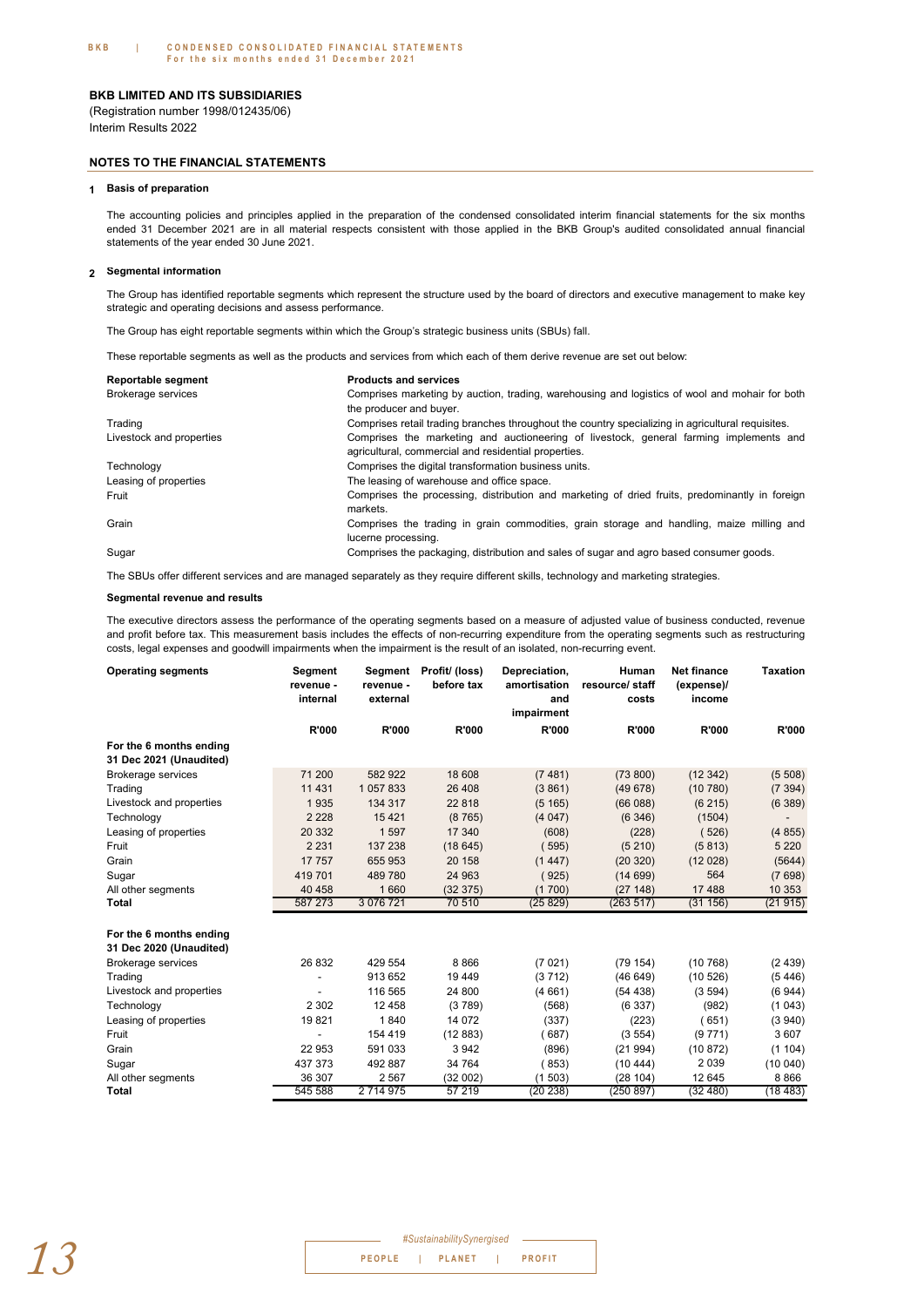Interim Results 2022 (Registration number 1998/012435/06)

#### **NOTES TO THE FINANCIAL STATEMENTS**

#### **1 Basis of preparation**

The accounting policies and principles applied in the preparation of the condensed consolidated interim financial statements for the six months ended 31 December 2021 are in all material respects consistent with those applied in the BKB Group's audited consolidated annual financial statements of the year ended 30 June 2021.

#### **2 Segmental information**

The Group has identified reportable segments which represent the structure used by the board of directors and executive management to make key strategic and operating decisions and assess performance.

The Group has eight reportable segments within which the Group's strategic business units (SBUs) fall.

These reportable segments as well as the products and services from which each of them derive revenue are set out below:

| Reportable segment       | <b>Products and services</b>                                                                                                                   |
|--------------------------|------------------------------------------------------------------------------------------------------------------------------------------------|
| Brokerage services       | Comprises marketing by auction, trading, warehousing and logistics of wool and mohair for both                                                 |
|                          | the producer and buyer.                                                                                                                        |
| Trading                  | Comprises retail trading branches throughout the country specializing in agricultural requisites.                                              |
| Livestock and properties | Comprises the marketing and auctioneering of livestock, general farming implements and<br>agricultural, commercial and residential properties. |
| Technology               | Comprises the digital transformation business units.                                                                                           |
| Leasing of properties    | The leasing of warehouse and office space.                                                                                                     |
| Fruit                    | Comprises the processing, distribution and marketing of dried fruits, predominantly in foreign<br>markets.                                     |
| Grain                    | Comprises the trading in grain commodities, grain storage and handling, maize milling and<br>lucerne processing.                               |
| Sugar                    | Comprises the packaging, distribution and sales of sugar and agro based consumer goods.                                                        |

The SBUs offer different services and are managed separately as they require different skills, technology and marketing strategies.

#### **Segmental revenue and results**

The executive directors assess the performance of the operating segments based on a measure of adjusted value of business conducted, revenue and profit before tax. This measurement basis includes the effects of non-recurring expenditure from the operating segments such as restructuring costs, legal expenses and goodwill impairments when the impairment is the result of an isolated, non-recurring event.

| <b>Operating segments</b>                          | Segment<br>revenue -<br>internal | Segment<br>revenue -<br>external | Profit/ (loss)<br>before tax | Depreciation,<br>amortisation<br>and<br>impairment | Human<br>resource/ staff<br>costs | <b>Net finance</b><br>(expense)/<br>income | <b>Taxation</b>          |
|----------------------------------------------------|----------------------------------|----------------------------------|------------------------------|----------------------------------------------------|-----------------------------------|--------------------------------------------|--------------------------|
|                                                    | <b>R'000</b>                     | <b>R'000</b>                     | R'000                        | <b>R'000</b>                                       | <b>R'000</b>                      | <b>R'000</b>                               | <b>R'000</b>             |
| For the 6 months ending<br>31 Dec 2021 (Unaudited) |                                  |                                  |                              |                                                    |                                   |                                            |                          |
| <b>Brokerage services</b>                          | 71 200                           | 582 922                          | 18 608                       | (7481)                                             | (73800)                           | (12342)                                    | (5508)                   |
| Trading                                            | 11 4 31                          | 1 057 833                        | 26 408                       | (3861)                                             | (49678)                           | (10780)                                    | (7394)                   |
| Livestock and properties                           | 1935                             | 134 317                          | 22 818                       | (5165)                                             | (66088)                           | (6215)                                     | (6389)                   |
| Technology                                         | 2 2 2 8                          | 15421                            | (8765)                       | (4047)                                             | (6346)                            | (1504)                                     | $\overline{\phantom{a}}$ |
| Leasing of properties                              | 20 332                           | 1597                             | 17 340                       | (608)                                              | (228)                             | (526)                                      | (4855)                   |
| Fruit                                              | 2 2 3 1                          | 137 238                          | (18645)                      | 595)                                               | (5210)                            | (5813)                                     | 5 2 2 0                  |
| Grain                                              | 17 757                           | 655 953                          | 20 158                       | (1447)                                             | (20320)                           | (12028)                                    | (5644)                   |
| Sugar                                              | 419701                           | 489 780                          | 24 963                       | 925)                                               | (14699)                           | 564                                        | (7698)                   |
| All other segments                                 | 40 458                           | 1 6 6 0                          | (32375)                      | (1700)                                             | (27148)                           | 17 488                                     | 10 353                   |
| Total                                              | 587 273                          | 3 0 7 6 7 2 1                    | 70 510                       | (25829)                                            | (263517)                          | (31156)                                    | (21915)                  |
| For the 6 months ending                            |                                  |                                  |                              |                                                    |                                   |                                            |                          |
| 31 Dec 2020 (Unaudited)                            |                                  |                                  |                              |                                                    |                                   |                                            |                          |
| <b>Brokerage services</b>                          | 26 832                           | 429 554                          | 8866                         | (7021)                                             | (79154)                           | (10768)                                    | (2439)                   |
| Trading                                            |                                  | 913 652                          | 19 449                       | (3712)                                             | (46649)                           | (10526)                                    | (5446)                   |
| Livestock and properties                           |                                  | 116 565                          | 24 800                       | (4661)                                             | (54438)                           | (3594)                                     | (6944)                   |
| Technology                                         | 2 3 0 2                          | 12 4 5 8                         | (3789)                       | (568)                                              | (6337)                            | (982)                                      | (1043)                   |
| Leasing of properties                              | 19821                            | 1840                             | 14 0 72                      | (337)                                              | (223)                             | (651)                                      | (3940)                   |
| Fruit                                              |                                  | 154 419                          | (12883)                      | (687)                                              | (3554)                            | (9771)                                     | 3607                     |
| Grain                                              | 22 953                           | 591 033                          | 3942                         | (896)                                              | (21994)                           | (10.872)                                   | (1104)                   |
| Sugar                                              | 437 373                          | 492 887                          | 34 764                       | 853)                                               | (10444)                           | 2 0 3 9                                    | (10040)                  |
| All other segments                                 | 36 307                           | 2 5 6 7                          | (32002)                      | (1503)                                             | (28104)                           | 12 645                                     | 8866                     |
| Total                                              | 545 588                          | 2 714 975                        | 57 219                       | (20 238)                                           | (250 897)                         | (32 480)                                   | (18483)                  |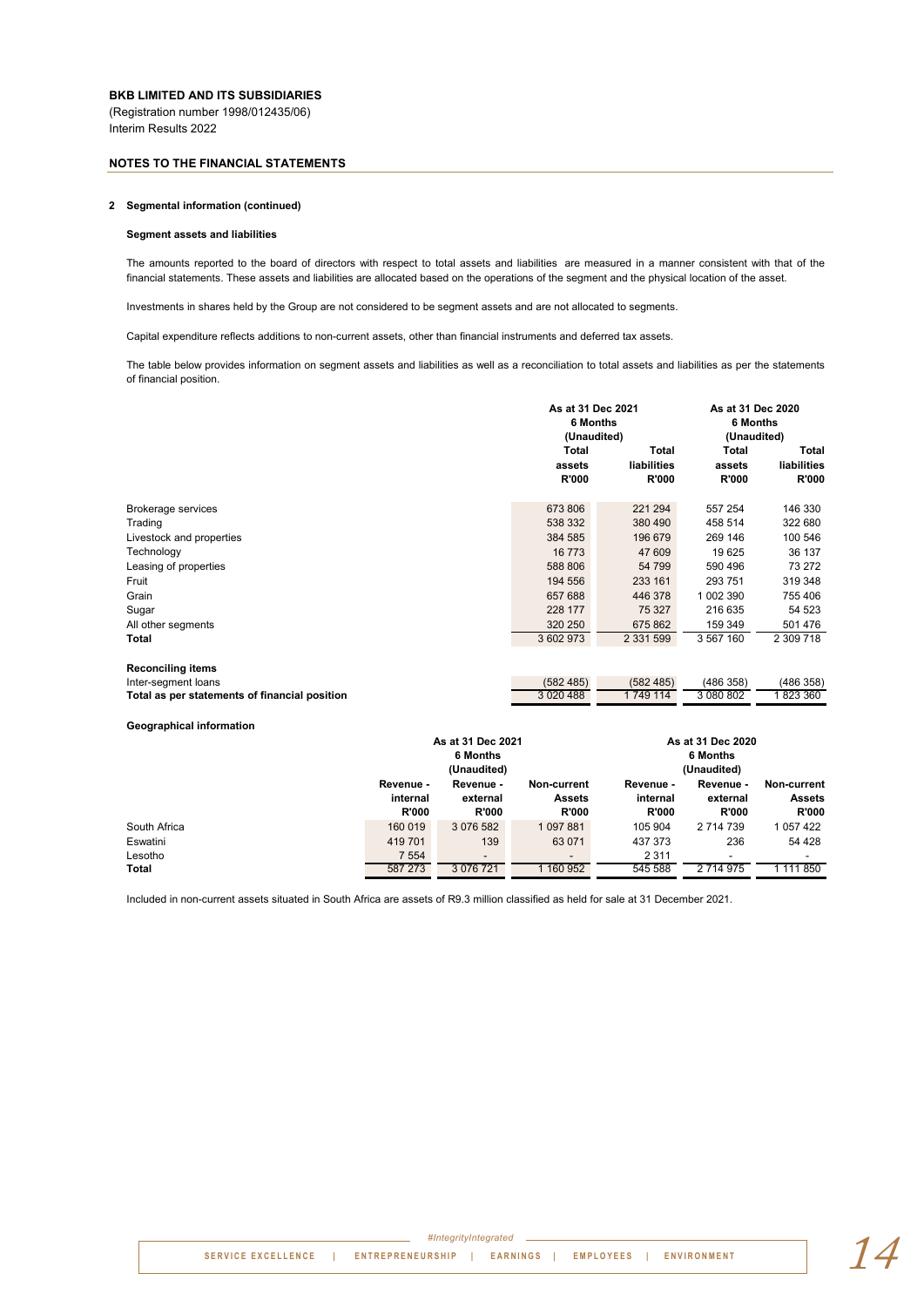#### **NOTES TO THE FINANCIAL STATEMENTS**

#### **2 Segmental information (continued)**

#### **Segment assets and liabilities**

The amounts reported to the board of directors with respect to total assets and liabilities are measured in a manner consistent with that of the financial statements. These assets and liabilities are allocated based on the operations of the segment and the physical location of the asset.

Investments in shares held by the Group are not considered to be segment assets and are not allocated to segments.

Capital expenditure reflects additions to non-current assets, other than financial instruments and deferred tax assets.

The table below provides information on segment assets and liabilities as well as a reconciliation to total assets and liabilities as per the statements of financial position.

|                                               | As at 31 Dec 2021<br>6 Months<br>(Unaudited) |                                      | As at 31 Dec 2020<br>6 Months<br>(Unaudited) |                                      |  |
|-----------------------------------------------|----------------------------------------------|--------------------------------------|----------------------------------------------|--------------------------------------|--|
|                                               | <b>Total</b><br>assets<br>R'000              | Total<br>liabilities<br><b>R'000</b> | <b>Total</b><br>assets<br><b>R'000</b>       | Total<br>liabilities<br><b>R'000</b> |  |
| Brokerage services                            | 673 806                                      | 221 294                              | 557 254                                      | 146 330                              |  |
| Trading                                       | 538 332                                      | 380 490                              | 458 514                                      | 322 680                              |  |
| Livestock and properties                      | 384 585                                      | 196 679                              | 269 146                                      | 100 546                              |  |
| Technology                                    | 16773                                        | 47 609                               | 19 625                                       | 36 137                               |  |
| Leasing of properties                         | 588 806                                      | 54 799                               | 590 496                                      | 73 272                               |  |
| Fruit                                         | 194 556                                      | 233 161                              | 293 751                                      | 319 348                              |  |
| Grain                                         | 657 688                                      | 446 378                              | 1 002 390                                    | 755 406                              |  |
| Sugar                                         | 228 177                                      | 75 327                               | 216 635                                      | 54 523                               |  |
| All other segments                            | 320 250                                      | 675 862                              | 159 349                                      | 501 476                              |  |
| Total                                         | 3 602 973                                    | 2 3 3 1 5 9 9                        | 3 567 160                                    | 2 309 718                            |  |
| <b>Reconciling items</b>                      |                                              |                                      |                                              |                                      |  |
| Inter-segment loans                           | (582, 485)                                   | (582, 485)                           | (486 358)                                    | (486 358)                            |  |
| Total as per statements of financial position | 3 0 20 4 88                                  | 1 749 114                            | 3 080 802                                    | 1823 360                             |  |

#### **Geographical information**

|                  | As at 31 Dec 2021<br>6 Months<br>(Unaudited) |                                       |                                              | As at 31 Dec 2020<br>6 Months<br>(Unaudited) |                                       |                                              |
|------------------|----------------------------------------------|---------------------------------------|----------------------------------------------|----------------------------------------------|---------------------------------------|----------------------------------------------|
|                  | Revenue -<br>internal<br><b>R'000</b>        | Revenue -<br>external<br><b>R'000</b> | Non-current<br><b>Assets</b><br><b>R'000</b> | Revenue -<br>internal<br><b>R'000</b>        | Revenue -<br>external<br><b>R'000</b> | Non-current<br><b>Assets</b><br><b>R'000</b> |
| South Africa     | 160 019                                      | 3 076 582                             | 1097881                                      | 105 904                                      | 2 714 739                             | 1 057 422                                    |
| Eswatini         | 419 701                                      | 139                                   | 63 071                                       | 437 373                                      | 236                                   | 54 4 28                                      |
| Lesotho<br>Total | 7 5 5 4<br>587 273                           | $\overline{\phantom{a}}$<br>3 076 721 | $\overline{\phantom{a}}$<br>1 160 952        | 2 3 1 1<br>545 588                           | $\overline{\phantom{a}}$<br>2 714 975 | -<br>1 111 850                               |

Included in non-current assets situated in South Africa are assets of R9.3 million classified as held for sale at 31 December 2021.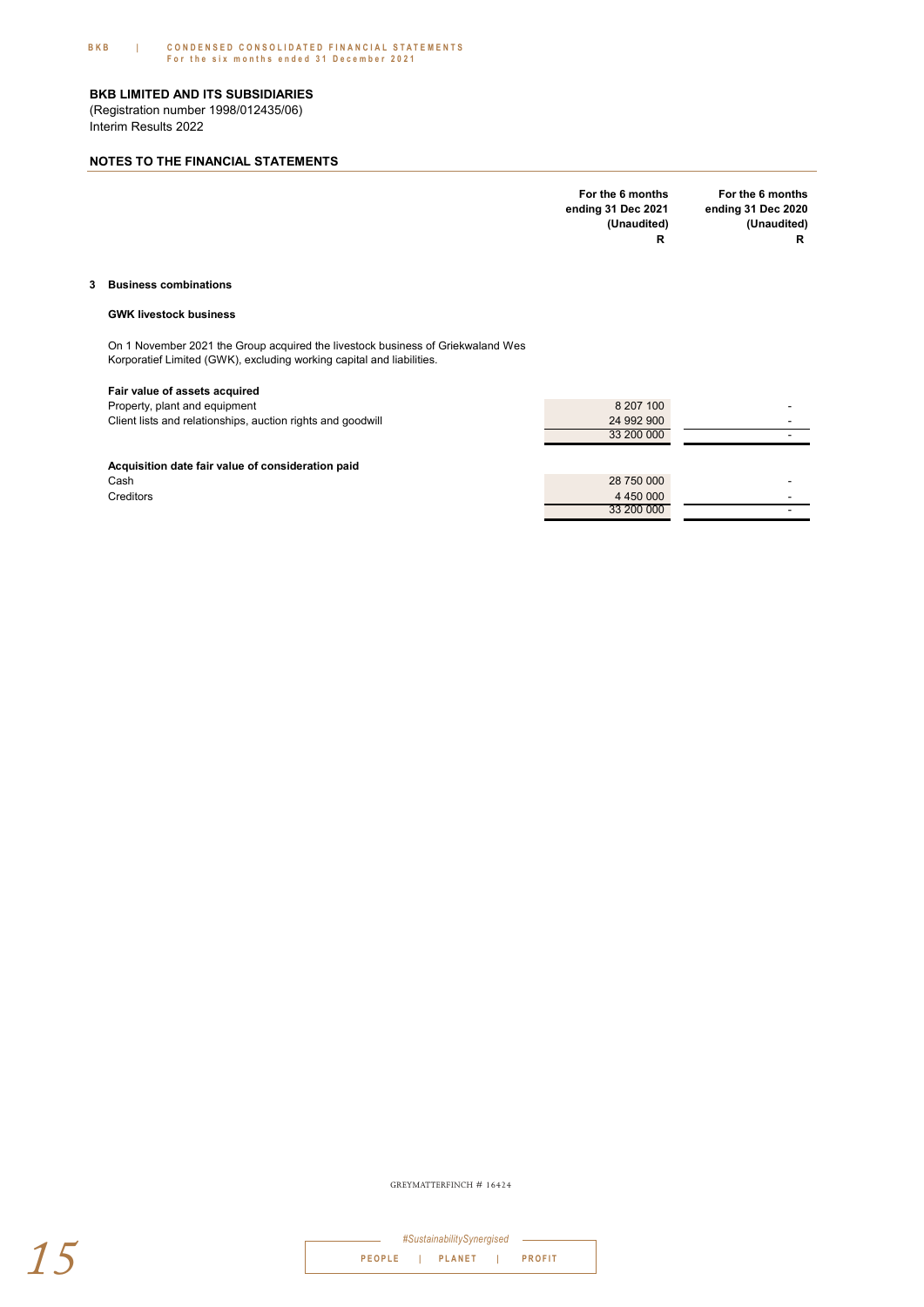#### **BKB | CONDENSED CONSOLIDATED FINANCIAL STATEMENTS F or the six months ended 31 December 2021**

#### **BKB LIMITED AND ITS SUBSIDIARIES**

Interim Results 2022 (Registration number 1998/012435/06)

#### **NOTES TO THE FINANCIAL STATEMENTS**

|                         | For the 6 months<br>ending 31 Dec 2021<br>(Unaudited)<br>R | For the 6 months<br>ending 31 Dec 2020<br>(Unaudited)<br>R |
|-------------------------|------------------------------------------------------------|------------------------------------------------------------|
| 3 Business combinations |                                                            |                                                            |

#### **GWK livestock business**

On 1 November 2021 the Group acquired the livestock business of Griekwaland Wes Korporatief Limited (GWK), excluding working capital and liabilities.

#### **Fair value of assets acquired**

| Property, plant and equipment                               | 8 207 100  |  |
|-------------------------------------------------------------|------------|--|
| Client lists and relationships, auction rights and goodwill | 24 992 900 |  |
|                                                             | 33 200 000 |  |
|                                                             |            |  |

#### **Acquisition date fair value of consideration paid**

| Cash      | 28 750 000 |  |
|-----------|------------|--|
| Creditors | 4 450 000  |  |
|           | 33 200 000 |  |
|           |            |  |

GREYMATTERFINCH # 16424